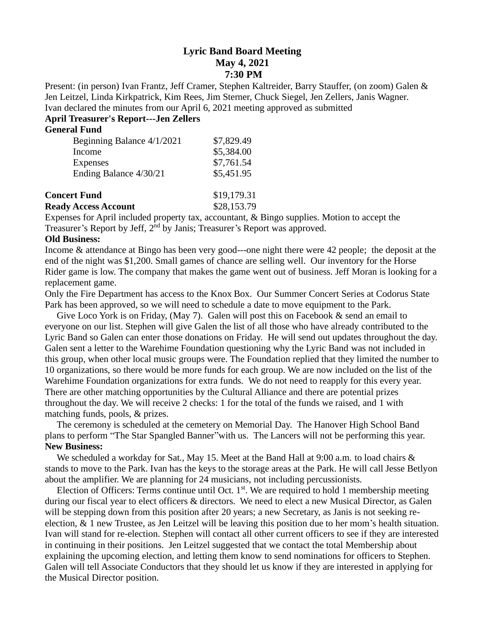## **Lyric Band Board Meeting May 4, 2021 7:30 PM**

Present: (in person) Ivan Frantz, Jeff Cramer, Stephen Kaltreider, Barry Stauffer, (on zoom) Galen & Jen Leitzel, Linda Kirkpatrick, Kim Rees, Jim Sterner, Chuck Siegel, Jen Zellers, Janis Wagner. Ivan declared the minutes from our April 6, 2021 meeting approved as submitted

# **April Treasurer's Report---Jen Zellers**

### **General Fund**

| \$7,829.49 |
|------------|
| \$5,384.00 |
| \$7,761.54 |
| \$5,451.95 |
|            |

| <b>Concert Fund</b>         | \$19,179.31 |
|-----------------------------|-------------|
| <b>Ready Access Account</b> | \$28,153.79 |

Expenses for April included property tax, accountant, & Bingo supplies. Motion to accept the Treasurer's Report by Jeff, 2nd by Janis; Treasurer's Report was approved.

#### **Old Business:**

Income & attendance at Bingo has been very good---one night there were 42 people; the deposit at the end of the night was \$1,200. Small games of chance are selling well. Our inventory for the Horse Rider game is low. The company that makes the game went out of business. Jeff Moran is looking for a replacement game.

Only the Fire Department has access to the Knox Box. Our Summer Concert Series at Codorus State Park has been approved, so we will need to schedule a date to move equipment to the Park.

Give Loco York is on Friday, (May 7). Galen will post this on Facebook  $\&$  send an email to everyone on our list. Stephen will give Galen the list of all those who have already contributed to the Lyric Band so Galen can enter those donations on Friday. He will send out updates throughout the day. Galen sent a letter to the Warehime Foundation questioning why the Lyric Band was not included in this group, when other local music groups were. The Foundation replied that they limited the number to 10 organizations, so there would be more funds for each group. We are now included on the list of the Warehime Foundation organizations for extra funds. We do not need to reapply for this every year. There are other matching opportunities by the Cultural Alliance and there are potential prizes throughout the day. We will receive 2 checks: 1 for the total of the funds we raised, and 1 with matching funds, pools, & prizes.

 The ceremony is scheduled at the cemetery on Memorial Day. The Hanover High School Band plans to perform "The Star Spangled Banner"with us. The Lancers will not be performing this year. **New Business:** 

We scheduled a workday for Sat., May 15. Meet at the Band Hall at 9:00 a.m. to load chairs  $\&$ stands to move to the Park. Ivan has the keys to the storage areas at the Park. He will call Jesse Betlyon about the amplifier. We are planning for 24 musicians, not including percussionists.

Election of Officers: Terms continue until Oct.  $1<sup>st</sup>$ . We are required to hold 1 membership meeting during our fiscal year to elect officers & directors. We need to elect a new Musical Director, as Galen will be stepping down from this position after 20 years; a new Secretary, as Janis is not seeking reelection, & 1 new Trustee, as Jen Leitzel will be leaving this position due to her mom's health situation. Ivan will stand for re-election. Stephen will contact all other current officers to see if they are interested in continuing in their positions. Jen Leitzel suggested that we contact the total Membership about explaining the upcoming election, and letting them know to send nominations for officers to Stephen. Galen will tell Associate Conductors that they should let us know if they are interested in applying for the Musical Director position.